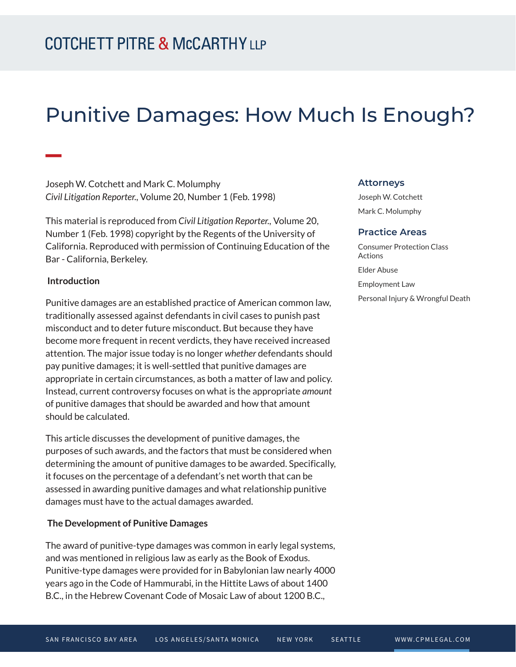# Punitive Damages: How Much Is Enough?

Joseph W. Cotchett and Mark C. Molumphy *Civil Litigation Reporter.,* Volume 20, Number 1 (Feb. 1998)

This material is reproduced from *Civil Litigation Reporter.,* Volume 20, Number 1 (Feb. 1998) copyright by the Regents of the University of California. Reproduced with permission of Continuing Education of the Bar - California, Berkeley.

### **Introduction**

**William** 

Punitive damages are an established practice of American common law, traditionally assessed against defendants in civil cases to punish past misconduct and to deter future misconduct. But because they have become more frequent in recent verdicts, they have received increased attention. The major issue today is no longer *whether* defendants should pay punitive damages; it is well-settled that punitive damages are appropriate in certain circumstances, as both a matter of law and policy. Instead, current controversy focuses on what is the appropriate *amount* of punitive damages that should be awarded and how that amount should be calculated.

This article discusses the development of punitive damages, the purposes of such awards, and the factors that must be considered when determining the amount of punitive damages to be awarded. Specifically, it focuses on the percentage of a defendant's net worth that can be assessed in awarding punitive damages and what relationship punitive damages must have to the actual damages awarded.

### **The Development of Punitive Damages**

The award of punitive-type damages was common in early legal systems, and was mentioned in religious law as early as the Book of Exodus. Punitive-type damages were provided for in Babylonian law nearly 4000 years ago in the Code of Hammurabi, in the Hittite Laws of about 1400 B.C., in the Hebrew Covenant Code of Mosaic Law of about 1200 B.C.,

#### **Attorneys**

Joseph W. Cotchett Mark C. Molumphy

#### **Practice Areas**

Consumer Protection Class Actions Elder Abuse Employment Law Personal Injury & Wrongful Death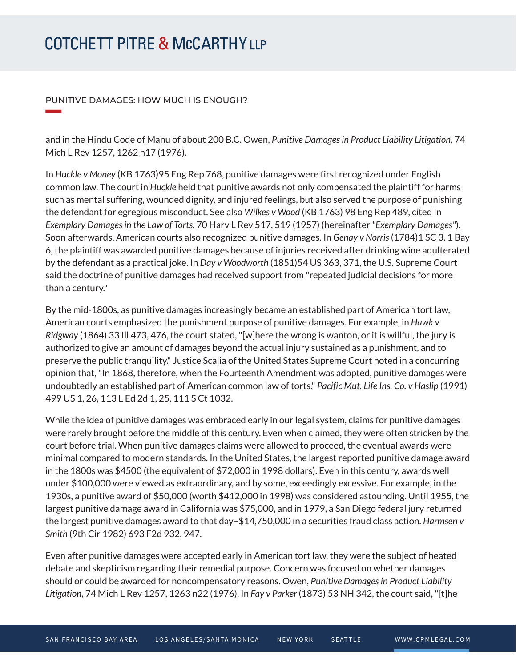### PUNITIVE DAMAGES: HOW MUCH IS ENOUGH?

**William Company** 

and in the Hindu Code of Manu of about 200 B.C. Owen, *Punitive Damages in Product Liability Litigation,* 74 Mich L Rev 1257, 1262 n17 (1976).

In *Huckle v Money* (KB 1763)95 Eng Rep 768, punitive damages were first recognized under English common law. The court in *Huckle* held that punitive awards not only compensated the plaintiff for harms such as mental suffering, wounded dignity, and injured feelings, but also served the purpose of punishing the defendant for egregious misconduct. See also *Wilkes v Wood* (KB 1763) 98 Eng Rep 489, cited in *Exemplary Damages in the Law of Torts,* 70 Harv L Rev 517, 519 (1957) (hereinafter *"Exemplary Damages"*). Soon afterwards, American courts also recognized punitive damages. In *Genay v Norris* (1784)1 SC 3, 1 Bay 6, the plaintiff was awarded punitive damages because of injuries received after drinking wine adulterated by the defendant as a practical joke. In *Day v Woodworth* (1851)54 US 363, 371, the U.S. Supreme Court said the doctrine of punitive damages had received support from "repeated judicial decisions for more than a century."

By the mid-1800s, as punitive damages increasingly became an established part of American tort law, American courts emphasized the punishment purpose of punitive damages. For example, in *Hawk v Ridgway* (1864) 33 Ill 473, 476, the court stated, "[w]here the wrong is wanton, or it is willful, the jury is authorized to give an amount of damages beyond the actual injury sustained as a punishment, and to preserve the public tranquility." Justice Scalia of the United States Supreme Court noted in a concurring opinion that, "In 1868, therefore, when the Fourteenth Amendment was adopted, punitive damages were undoubtedly an established part of American common law of torts." *Pacific Mut. Life Ins. Co. v Haslip* (1991) 499 US 1, 26, 113 L Ed 2d 1, 25, 111 S Ct 1032.

While the idea of punitive damages was embraced early in our legal system, claims for punitive damages were rarely brought before the middle of this century. Even when claimed, they were often stricken by the court before trial. When punitive damages claims were allowed to proceed, the eventual awards were minimal compared to modern standards. In the United States, the largest reported punitive damage award in the 1800s was \$4500 (the equivalent of \$72,000 in 1998 dollars). Even in this century, awards well under \$100,000 were viewed as extraordinary, and by some, exceedingly excessive. For example, in the 1930s, a punitive award of \$50,000 (worth \$412,000 in 1998) was considered astounding. Until 1955, the largest punitive damage award in California was \$75,000, and in 1979, a San Diego federal jury returned the largest punitive damages award to that day–\$14,750,000 in a securities fraud class action. *Harmsen v Smith* (9th Cir 1982) 693 F2d 932, 947.

Even after punitive damages were accepted early in American tort law, they were the subject of heated debate and skepticism regarding their remedial purpose. Concern was focused on whether damages should or could be awarded for noncompensatory reasons. Owen, *Punitive Damages in Product Liability Litigation,* 74 Mich L Rev 1257, 1263 n22 (1976). In *Fay v Parker* (1873) 53 NH 342, the court said, "[t]he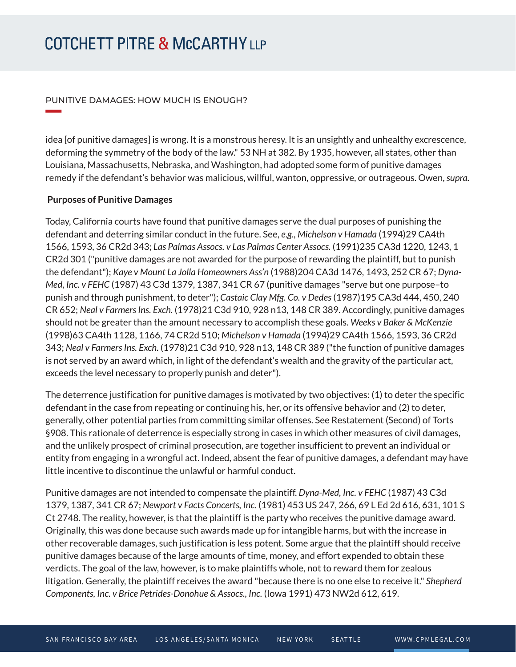### PUNITIVE DAMAGES: HOW MUCH IS ENOUGH?

idea [of punitive damages] is wrong. It is a monstrous heresy. It is an unsightly and unhealthy excrescence, deforming the symmetry of the body of the law." 53 NH at 382. By 1935, however, all states, other than Louisiana, Massachusetts, Nebraska, and Washington, had adopted some form of punitive damages remedy if the defendant's behavior was malicious, willful, wanton, oppressive, or outrageous. Owen, *supra.*

### **Purposes of Punitive Damages**

**William Company** 

Today, California courts have found that punitive damages serve the dual purposes of punishing the defendant and deterring similar conduct in the future. See, *e.g., Michelson v Hamada* (1994)29 CA4th 1566, 1593, 36 CR2d 343; *Las Palmas Assocs. v Las Palmas Center Assocs.* (1991)235 CA3d 1220, 1243, 1 CR2d 301 ("punitive damages are not awarded for the purpose of rewarding the plaintiff, but to punish the defendant"); *Kaye v Mount La Jolla Homeowners Ass'n* (1988)204 CA3d 1476, 1493, 252 CR 67; *Dyna-Med, Inc. v FEHC* (1987) 43 C3d 1379, 1387, 341 CR 67 (punitive damages "serve but one purpose–to punish and through punishment, to deter"); *Castaic Clay Mfg. Co. v Dedes* (1987)195 CA3d 444, 450, 240 CR 652; *Neal v Farmers Ins. Exch.* (1978)21 C3d 910, 928 n13, 148 CR 389. Accordingly, punitive damages should not be greater than the amount necessary to accomplish these goals. *Weeks v Baker & McKenzie* (1998)63 CA4th 1128, 1166, 74 CR2d 510; *Michelson v Hamada* (1994)29 CA4th 1566, 1593, 36 CR2d 343; *Neal v Farmers Ins. Exch.* (1978)21 C3d 910, 928 n13, 148 CR 389 ("the function of punitive damages is not served by an award which, in light of the defendant's wealth and the gravity of the particular act, exceeds the level necessary to properly punish and deter").

The deterrence justification for punitive damages is motivated by two objectives: (1) to deter the specific defendant in the case from repeating or continuing his, her, or its offensive behavior and (2) to deter, generally, other potential parties from committing similar offenses. See Restatement (Second) of Torts §908. This rationale of deterrence is especially strong in cases in which other measures of civil damages, and the unlikely prospect of criminal prosecution, are together insufficient to prevent an individual or entity from engaging in a wrongful act. Indeed, absent the fear of punitive damages, a defendant may have little incentive to discontinue the unlawful or harmful conduct.

Punitive damages are not intended to compensate the plaintiff. *Dyna-Med, Inc. v FEHC* (1987) 43 C3d 1379, 1387, 341 CR 67; *Newport v Facts Concerts, Inc.* (1981) 453 US 247, 266, 69 L Ed 2d 616, 631, 101 S Ct 2748. The reality, however, is that the plaintiff is the party who receives the punitive damage award. Originally, this was done because such awards made up for intangible harms, but with the increase in other recoverable damages, such justification is less potent. Some argue that the plaintiff should receive punitive damages because of the large amounts of time, money, and effort expended to obtain these verdicts. The goal of the law, however, is to make plaintiffs whole, not to reward them for zealous litigation. Generally, the plaintiff receives the award "because there is no one else to receive it." *Shepherd Components, Inc. v Brice Petrides-Donohue & Assocs., Inc.* (Iowa 1991) 473 NW2d 612, 619.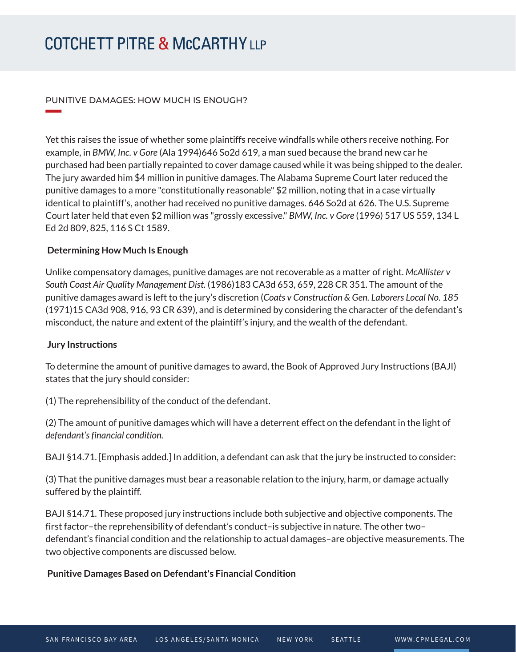### PUNITIVE DAMAGES: HOW MUCH IS ENOUGH?

Yet this raises the issue of whether some plaintiffs receive windfalls while others receive nothing. For example, in *BMW, Inc. v Gore* (Ala 1994)646 So2d 619, a man sued because the brand new car he purchased had been partially repainted to cover damage caused while it was being shipped to the dealer. The jury awarded him \$4 million in punitive damages. The Alabama Supreme Court later reduced the punitive damages to a more "constitutionally reasonable" \$2 million, noting that in a case virtually identical to plaintiff's, another had received no punitive damages. 646 So2d at 626. The U.S. Supreme Court later held that even \$2 million was "grossly excessive." *BMW, Inc. v Gore* (1996) 517 US 559, 134 L Ed 2d 809, 825, 116 S Ct 1589.

### **Determining How Much Is Enough**

Unlike compensatory damages, punitive damages are not recoverable as a matter of right. *McAllister v South Coast Air Quality Management Dist.* (1986)183 CA3d 653, 659, 228 CR 351. The amount of the punitive damages award is left to the jury's discretion (*Coats v Construction & Gen. Laborers Local No. 185* (1971)15 CA3d 908, 916, 93 CR 639), and is determined by considering the character of the defendant's misconduct, the nature and extent of the plaintiff's injury, and the wealth of the defendant.

### **Jury Instructions**

**William Company** 

To determine the amount of punitive damages to award, the Book of Approved Jury Instructions (BAJI) states that the jury should consider:

(1) The reprehensibility of the conduct of the defendant.

(2) The amount of punitive damages which will have a deterrent effect on the defendant in the light of *defendant's financial condition.*

BAJI §14.71. [Emphasis added.] In addition, a defendant can ask that the jury be instructed to consider:

(3) That the punitive damages must bear a reasonable relation to the injury, harm, or damage actually suffered by the plaintiff.

BAJI §14.71. These proposed jury instructions include both subjective and objective components. The first factor–the reprehensibility of defendant's conduct–is subjective in nature. The other two– defendant's financial condition and the relationship to actual damages–are objective measurements. The two objective components are discussed below.

### **Punitive Damages Based on Defendant's Financial Condition**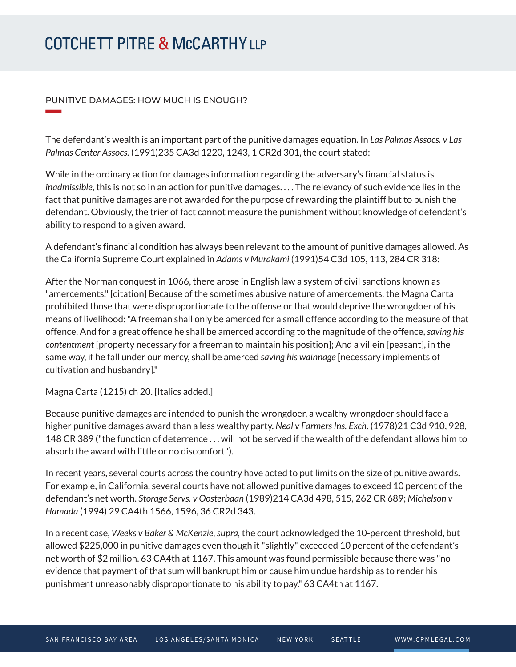### PUNITIVE DAMAGES: HOW MUCH IS ENOUGH?

**William Company** 

The defendant's wealth is an important part of the punitive damages equation. In *Las Palmas Assocs. v Las Palmas Center Assocs.* (1991)235 CA3d 1220, 1243, 1 CR2d 301, the court stated:

While in the ordinary action for damages information regarding the adversary's financial status is *inadmissible,* this is not so in an action for punitive damages. . . . The relevancy of such evidence lies in the fact that punitive damages are not awarded for the purpose of rewarding the plaintiff but to punish the defendant. Obviously, the trier of fact cannot measure the punishment without knowledge of defendant's ability to respond to a given award.

A defendant's financial condition has always been relevant to the amount of punitive damages allowed. As the California Supreme Court explained in *Adams v Murakami* (1991)54 C3d 105, 113, 284 CR 318:

After the Norman conquest in 1066, there arose in English law a system of civil sanctions known as "amercements." [citation] Because of the sometimes abusive nature of amercements, the Magna Carta prohibited those that were disproportionate to the offense or that would deprive the wrongdoer of his means of livelihood: "A freeman shall only be amerced for a small offence according to the measure of that offence. And for a great offence he shall be amerced according to the magnitude of the offence, *saving his contentment* [property necessary for a freeman to maintain his position]; And a villein [peasant], in the same way, if he fall under our mercy, shall be amerced *saving his wainnage* [necessary implements of cultivation and husbandry]."

Magna Carta (1215) ch 20. [Italics added.]

Because punitive damages are intended to punish the wrongdoer, a wealthy wrongdoer should face a higher punitive damages award than a less wealthy party. *Neal v Farmers Ins. Exch.* (1978)21 C3d 910, 928, 148 CR 389 ("the function of deterrence . . . will not be served if the wealth of the defendant allows him to absorb the award with little or no discomfort").

In recent years, several courts across the country have acted to put limits on the size of punitive awards. For example, in California, several courts have not allowed punitive damages to exceed 10 percent of the defendant's net worth. *Storage Servs. v Oosterbaan* (1989)214 CA3d 498, 515, 262 CR 689; *Michelson v Hamada* (1994) 29 CA4th 1566, 1596, 36 CR2d 343.

In a recent case, *Weeks v Baker & McKenzie, supra,* the court acknowledged the 10-percent threshold, but allowed \$225,000 in punitive damages even though it "slightly" exceeded 10 percent of the defendant's net worth of \$2 million. 63 CA4th at 1167. This amount was found permissible because there was "no evidence that payment of that sum will bankrupt him or cause him undue hardship as to render his punishment unreasonably disproportionate to his ability to pay." 63 CA4th at 1167.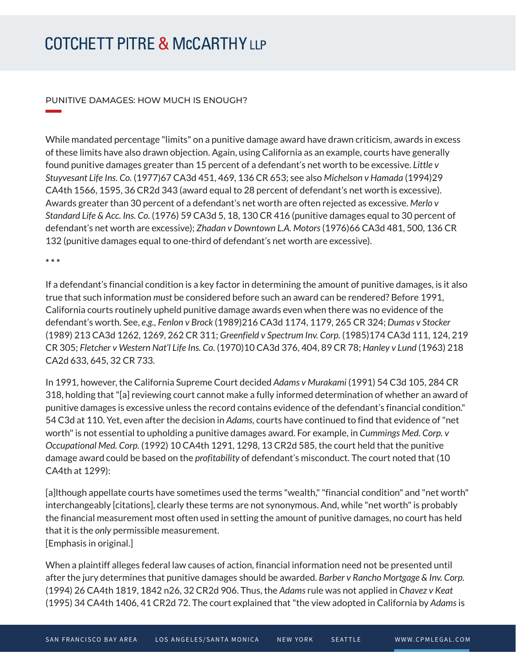### PUNITIVE DAMAGES: HOW MUCH IS ENOUGH?

While mandated percentage "limits" on a punitive damage award have drawn criticism, awards in excess of these limits have also drawn objection. Again, using California as an example, courts have generally found punitive damages greater than 15 percent of a defendant's net worth to be excessive. *Little v Stuyvesant Life Ins. Co.* (1977)67 CA3d 451, 469, 136 CR 653; see also *Michelson v Hamada* (1994)29 CA4th 1566, 1595, 36 CR2d 343 (award equal to 28 percent of defendant's net worth is excessive). Awards greater than 30 percent of a defendant's net worth are often rejected as excessive. *Merlo v Standard Life & Acc. Ins. Co.* (1976) 59 CA3d 5, 18, 130 CR 416 (punitive damages equal to 30 percent of defendant's net worth are excessive); *Zhadan v Downtown L.A. Motors* (1976)66 CA3d 481, 500, 136 CR 132 (punitive damages equal to one-third of defendant's net worth are excessive).

#### **\* \* \***

**William Company** 

If a defendant's financial condition is a key factor in determining the amount of punitive damages, is it also true that such information *must* be considered before such an award can be rendered? Before 1991, California courts routinely upheld punitive damage awards even when there was no evidence of the defendant's worth. See, *e.g., Fenlon v Brock* (1989)216 CA3d 1174, 1179, 265 CR 324; *Dumas v Stocker* (1989) 213 CA3d 1262, 1269, 262 CR 311; *Greenfield v Spectrum Inv. Corp.* (1985)174 CA3d 111, 124, 219 CR 305; *Fletcher v Western Nat'l Life Ins. Co.* (1970)10 CA3d 376, 404, 89 CR 78; *Hanley v Lund* (1963) 218 CA2d 633, 645, 32 CR 733.

In 1991, however, the California Supreme Court decided *Adams v Murakami* (1991) 54 C3d 105, 284 CR 318, holding that "[a] reviewing court cannot make a fully informed determination of whether an award of punitive damages is excessive unless the record contains evidence of the defendant's financial condition." 54 C3d at 110. Yet, even after the decision in *Adams,* courts have continued to find that evidence of "net worth" is not essential to upholding a punitive damages award. For example, in *Cummings Med. Corp. v Occupational Med. Corp.* (1992) 10 CA4th 1291, 1298, 13 CR2d 585, the court held that the punitive damage award could be based on the *profitability* of defendant's misconduct. The court noted that (10 CA4th at 1299):

[a]lthough appellate courts have sometimes used the terms "wealth," "financial condition" and "net worth" interchangeably [citations], clearly these terms are not synonymous. And, while "net worth" is probably the financial measurement most often used in setting the amount of punitive damages, no court has held that it is the *only* permissible measurement. [Emphasis in original.]

When a plaintiff alleges federal law causes of action, financial information need not be presented until after the jury determines that punitive damages should be awarded. *Barber v Rancho Mortgage & Inv. Corp.* (1994) 26 CA4th 1819, 1842 n26, 32 CR2d 906. Thus, the *Adams* rule was not applied in *Chavez v Keat* (1995) 34 CA4th 1406, 41 CR2d 72. The court explained that "the view adopted in California by *Adams* is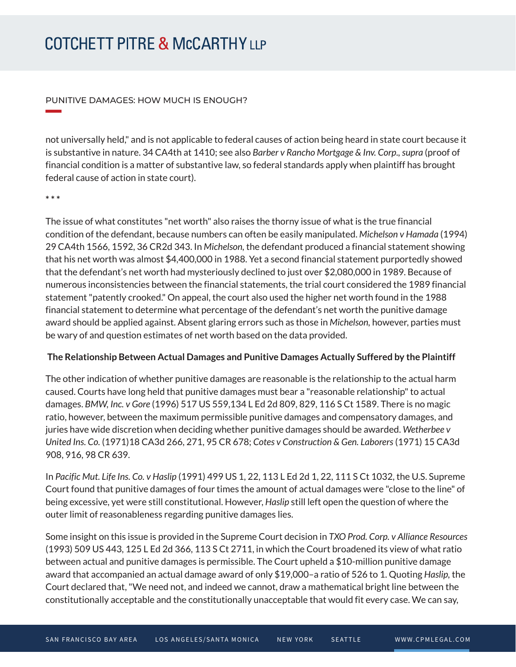### PUNITIVE DAMAGES: HOW MUCH IS ENOUGH?

not universally held," and is not applicable to federal causes of action being heard in state court because it is substantive in nature. 34 CA4th at 1410; see also *Barber v Rancho Mortgage & Inv. Corp., supra* (proof of financial condition is a matter of substantive law, so federal standards apply when plaintiff has brought federal cause of action in state court).

**\* \* \*** 

**William Company** 

The issue of what constitutes "net worth" also raises the thorny issue of what is the true financial condition of the defendant, because numbers can often be easily manipulated. *Michelson v Hamada* (1994) 29 CA4th 1566, 1592, 36 CR2d 343. In *Michelson,* the defendant produced a financial statement showing that his net worth was almost \$4,400,000 in 1988. Yet a second financial statement purportedly showed that the defendant's net worth had mysteriously declined to just over \$2,080,000 in 1989. Because of numerous inconsistencies between the financial statements, the trial court considered the 1989 financial statement "patently crooked." On appeal, the court also used the higher net worth found in the 1988 financial statement to determine what percentage of the defendant's net worth the punitive damage award should be applied against. Absent glaring errors such as those in *Michelson,* however, parties must be wary of and question estimates of net worth based on the data provided.

### **The Relationship Between Actual Damages and Punitive Damages Actually Suffered by the Plaintiff**

The other indication of whether punitive damages are reasonable is the relationship to the actual harm caused. Courts have long held that punitive damages must bear a "reasonable relationship" to actual damages. *BMW, Inc. v Gore* (1996) 517 US 559,134 L Ed 2d 809, 829, 116 S Ct 1589. There is no magic ratio, however, between the maximum permissible punitive damages and compensatory damages, and juries have wide discretion when deciding whether punitive damages should be awarded. *Wetherbee v United Ins. Co.* (1971)18 CA3d 266, 271, 95 CR 678; *Cotes v Construction & Gen. Laborers* (1971) 15 CA3d 908, 916, 98 CR 639.

In *Pacific Mut. Life Ins. Co. v Haslip* (1991) 499 US 1, 22, 113 L Ed 2d 1, 22, 111 S Ct 1032, the U.S. Supreme Court found that punitive damages of four times the amount of actual damages were "close to the line" of being excessive, yet were still constitutional. However, *Haslip* still left open the question of where the outer limit of reasonableness regarding punitive damages lies.

Some insight on this issue is provided in the Supreme Court decision in *TXO Prod. Corp. v Alliance Resources* (1993) 509 US 443, 125 L Ed 2d 366, 113 S Ct 2711, in which the Court broadened its view of what ratio between actual and punitive damages is permissible. The Court upheld a \$10-million punitive damage award that accompanied an actual damage award of only \$19,000–a ratio of 526 to 1. Quoting *Haslip,* the Court declared that, "We need not, and indeed we cannot, draw a mathematical bright line between the constitutionally acceptable and the constitutionally unacceptable that would fit every case. We can say,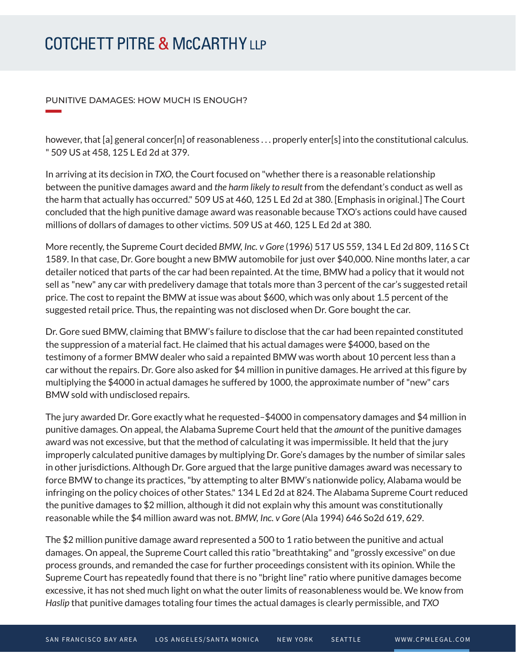### PUNITIVE DAMAGES: HOW MUCH IS ENOUGH?

**William Company** 

however, that [a] general concer[n] of reasonableness . . . properly enter[s] into the constitutional calculus. " 509 US at 458, 125 L Ed 2d at 379.

In arriving at its decision in *TXO,* the Court focused on "whether there is a reasonable relationship between the punitive damages award and *the harm likely to result* from the defendant's conduct as well as the harm that actually has occurred." 509 US at 460, 125 L Ed 2d at 380. [Emphasis in original.] The Court concluded that the high punitive damage award was reasonable because TXO's actions could have caused millions of dollars of damages to other victims. 509 US at 460, 125 L Ed 2d at 380.

More recently, the Supreme Court decided *BMW, Inc. v Gore* (1996) 517 US 559, 134 L Ed 2d 809, 116 S Ct 1589. In that case, Dr. Gore bought a new BMW automobile for just over \$40,000. Nine months later, a car detailer noticed that parts of the car had been repainted. At the time, BMW had a policy that it would not sell as "new" any car with predelivery damage that totals more than 3 percent of the car's suggested retail price. The cost to repaint the BMW at issue was about \$600, which was only about 1.5 percent of the suggested retail price. Thus, the repainting was not disclosed when Dr. Gore bought the car.

Dr. Gore sued BMW, claiming that BMW's failure to disclose that the car had been repainted constituted the suppression of a material fact. He claimed that his actual damages were \$4000, based on the testimony of a former BMW dealer who said a repainted BMW was worth about 10 percent less than a car without the repairs. Dr. Gore also asked for \$4 million in punitive damages. He arrived at this figure by multiplying the \$4000 in actual damages he suffered by 1000, the approximate number of "new" cars BMW sold with undisclosed repairs.

The jury awarded Dr. Gore exactly what he requested–\$4000 in compensatory damages and \$4 million in punitive damages. On appeal, the Alabama Supreme Court held that the *amount* of the punitive damages award was not excessive, but that the method of calculating it was impermissible. It held that the jury improperly calculated punitive damages by multiplying Dr. Gore's damages by the number of similar sales in other jurisdictions. Although Dr. Gore argued that the large punitive damages award was necessary to force BMW to change its practices, "by attempting to alter BMW's nationwide policy, Alabama would be infringing on the policy choices of other States." 134 L Ed 2d at 824. The Alabama Supreme Court reduced the punitive damages to \$2 million, although it did not explain why this amount was constitutionally reasonable while the \$4 million award was not. *BMW, Inc. v Gore* (Ala 1994) 646 So2d 619, 629.

The \$2 million punitive damage award represented a 500 to 1 ratio between the punitive and actual damages. On appeal, the Supreme Court called this ratio "breathtaking" and "grossly excessive" on due process grounds, and remanded the case for further proceedings consistent with its opinion. While the Supreme Court has repeatedly found that there is no "bright line" ratio where punitive damages become excessive, it has not shed much light on what the outer limits of reasonableness would be. We know from *Haslip* that punitive damages totaling four times the actual damages is clearly permissible, and *TXO*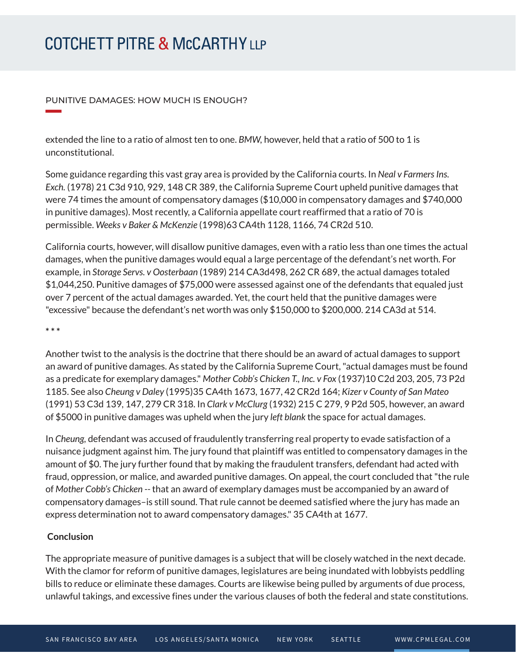### PUNITIVE DAMAGES: HOW MUCH IS ENOUGH?

extended the line to a ratio of almost ten to one. *BMW,* however, held that a ratio of 500 to 1 is unconstitutional.

Some guidance regarding this vast gray area is provided by the California courts. In *Neal v Farmers Ins. Exch.* (1978) 21 C3d 910, 929, 148 CR 389, the California Supreme Court upheld punitive damages that were 74 times the amount of compensatory damages (\$10,000 in compensatory damages and \$740,000 in punitive damages). Most recently, a California appellate court reaffirmed that a ratio of 70 is permissible. *Weeks v Baker & McKenzie* (1998)63 CA4th 1128, 1166, 74 CR2d 510.

California courts, however, will disallow punitive damages, even with a ratio less than one times the actual damages, when the punitive damages would equal a large percentage of the defendant's net worth. For example, in *Storage Servs. v Oosterbaan* (1989) 214 CA3d498, 262 CR 689, the actual damages totaled \$1,044,250. Punitive damages of \$75,000 were assessed against one of the defendants that equaled just over 7 percent of the actual damages awarded. Yet, the court held that the punitive damages were "excessive" because the defendant's net worth was only \$150,000 to \$200,000. 214 CA3d at 514.

**\* \* \*** 

**William Company** 

Another twist to the analysis is the doctrine that there should be an award of actual damages to support an award of punitive damages. As stated by the California Supreme Court, "actual damages must be found as a predicate for exemplary damages." *Mother Cobb's Chicken T., Inc. v Fox* (1937)10 C2d 203, 205, 73 P2d 1185. See also *Cheung v Daley* (1995)35 CA4th 1673, 1677, 42 CR2d 164; *Kizer v County of San Mateo* (1991) 53 C3d 139, 147, 279 CR 318. In *Clark v McClurg* (1932) 215 C 279, 9 P2d 505, however, an award of \$5000 in punitive damages was upheld when the jury *left blank* the space for actual damages.

In *Cheung,* defendant was accused of fraudulently transferring real property to evade satisfaction of a nuisance judgment against him. The jury found that plaintiff was entitled to compensatory damages in the amount of \$0. The jury further found that by making the fraudulent transfers, defendant had acted with fraud, oppression, or malice, and awarded punitive damages. On appeal, the court concluded that "the rule of *Mother Cobb's Chicken --* that an award of exemplary damages must be accompanied by an award of compensatory damages–is still sound. That rule cannot be deemed satisfied where the jury has made an express determination not to award compensatory damages." 35 CA4th at 1677.

### **Conclusion**

The appropriate measure of punitive damages is a subject that will be closely watched in the next decade. With the clamor for reform of punitive damages, legislatures are being inundated with lobbyists peddling bills to reduce or eliminate these damages. Courts are likewise being pulled by arguments of due process, unlawful takings, and excessive fines under the various clauses of both the federal and state constitutions.